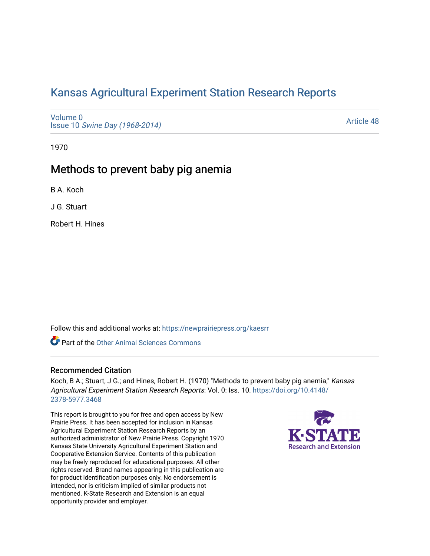# [Kansas Agricultural Experiment Station Research Reports](https://newprairiepress.org/kaesrr)

[Volume 0](https://newprairiepress.org/kaesrr/vol0) Issue 10 [Swine Day \(1968-2014\)](https://newprairiepress.org/kaesrr/vol0/iss10)

[Article 48](https://newprairiepress.org/kaesrr/vol0/iss10/48) 

1970

## Methods to prevent baby pig anemia

B A. Koch

J G. Stuart

Robert H. Hines

Follow this and additional works at: [https://newprairiepress.org/kaesrr](https://newprairiepress.org/kaesrr?utm_source=newprairiepress.org%2Fkaesrr%2Fvol0%2Fiss10%2F48&utm_medium=PDF&utm_campaign=PDFCoverPages) 

**Part of the [Other Animal Sciences Commons](http://network.bepress.com/hgg/discipline/82?utm_source=newprairiepress.org%2Fkaesrr%2Fvol0%2Fiss10%2F48&utm_medium=PDF&utm_campaign=PDFCoverPages)** 

## Recommended Citation

Koch, B A.; Stuart, J G.; and Hines, Robert H. (1970) "Methods to prevent baby pig anemia," Kansas Agricultural Experiment Station Research Reports: Vol. 0: Iss. 10. [https://doi.org/10.4148/](https://doi.org/10.4148/2378-5977.3468) [2378-5977.3468](https://doi.org/10.4148/2378-5977.3468) 

This report is brought to you for free and open access by New Prairie Press. It has been accepted for inclusion in Kansas Agricultural Experiment Station Research Reports by an authorized administrator of New Prairie Press. Copyright 1970 Kansas State University Agricultural Experiment Station and Cooperative Extension Service. Contents of this publication may be freely reproduced for educational purposes. All other rights reserved. Brand names appearing in this publication are for product identification purposes only. No endorsement is intended, nor is criticism implied of similar products not mentioned. K-State Research and Extension is an equal opportunity provider and employer.

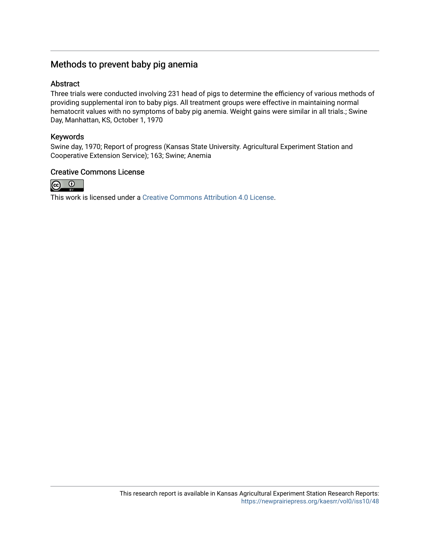## Methods to prevent baby pig anemia

### Abstract

Three trials were conducted involving 231 head of pigs to determine the efficiency of various methods of providing supplemental iron to baby pigs. All treatment groups were effective in maintaining normal hematocrit values with no symptoms of baby pig anemia. Weight gains were similar in all trials.; Swine Day, Manhattan, KS, October 1, 1970

### Keywords

Swine day, 1970; Report of progress (Kansas State University. Agricultural Experiment Station and Cooperative Extension Service); 163; Swine; Anemia

#### Creative Commons License



This work is licensed under a [Creative Commons Attribution 4.0 License](https://creativecommons.org/licenses/by/4.0/).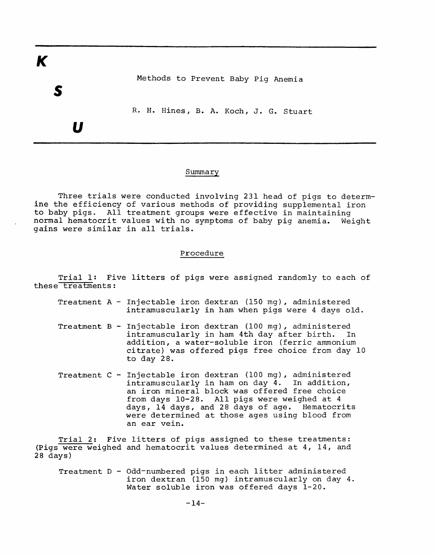K

Methods to Prevent Baby Pig Anemia

R. H. Hines, B. A. Koch, J. G. Stuart

 $\boldsymbol{U}$ 

#### Summary

Three trials were conducted involving 231 head of pigs to determine the efficiency of various methods of providing supplemental iron<br>to baby pigs. All treatment groups were effective in maintaining normal hematocrit values with no symptoms of baby pig anemia. Weight gains were similar in all trials.

#### Procedure

Trial 1: Five litters of pigs were assigned randomly to each of these treatments:

- Treatment  $A Injectable$  iron dextran (150 mg), administered intramuscularly in ham when pigs were 4 days old.
- Treatment B Injectable iron dextran (100 mg), administered intramuscularly in ham 4th day after birth. In addition, a water-soluble iron (ferric ammonium citrate) was offered pigs free choice from day 10 to day 28.
- Treatment C Injectable iron dextran (100 mg), administered intramuscularly in ham on day 4. In addition, an iron mineral block was offered free choice from days 10-28. All pigs were weighed at 4 days, 14 days, and 28 days of age. Hematocrits were determined at those ages using blood from an ear vein.

Trial 2: Five litters of pigs assigned to these treatments: (Pigs were weighed and hematocrit values determined at 4, 14, and  $28$  days)

Treatment D - Odd-numbered pigs in each litter administered iron dextran (150 mg) intramuscularly on day 4. Water soluble iron was offered days 1-20.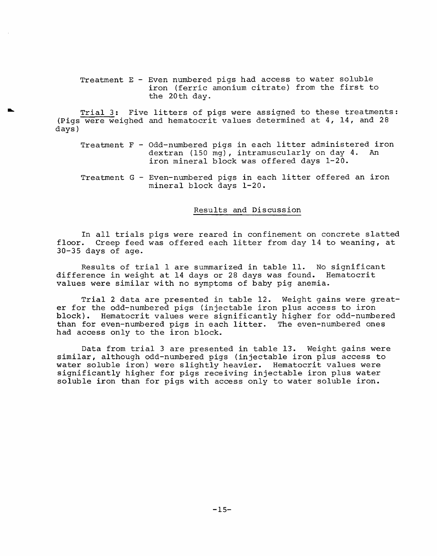Treatment E - Even numbered pigs had access to water soluble iron (ferric amonium citrate) from the first to the 20th day.

Trial 3: Five litters of pigs were assigned to these treatments: (Pigs were weighed and hematocrit values determined at 4, 14, and 28 days)

- Treatment F Odd-numbered pigs in each litter administered iron dextran (150 mg), intramuscularly on day 4. An iron mineral block was offered days 1-20.
- Treatment G Even-numbered pigs in each litter offered an iron mineral block days 1-20.

#### Results and Discussion

In all trials pigs were reared in confinement on concrete slatted floor. Creep feed was offered each litter from day 14 to weaning, at  $30-35$  days of age.

Results of trial 1 are summarized in table 11. No significant difference in weight at 14 days or 28 days was found. Hematocrit values were similar with no symptoms of baby pig anemia.

Trial 2 data are presented in table 12. Weight gains were greater for the odd-numbered pigs (injectable iron plus access to iron block). Hematocrit values were significantly higher for odd-numbered than for even-numbered pigs in each litter. The even-numbered ones had access only to the iron block.

Data from trial 3 are presented in table 13. Weight gains were similar, although odd-numbered pigs (injectable iron plus access to water soluble iron) were slightly heavier. Hematocrit values were significantly higher for pigs receiving injectable iron plus water soluble iron than for pigs with access only to water soluble iron.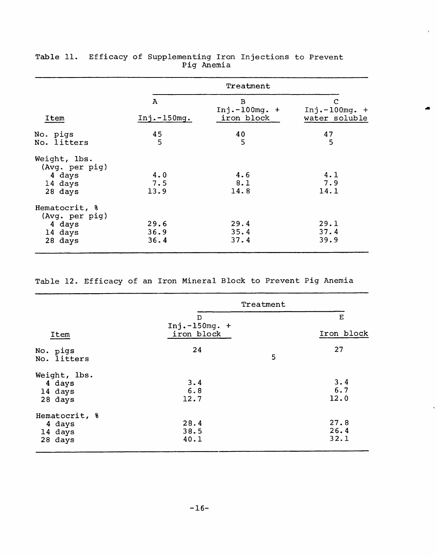|                                                                 | Treatment            |                                                 |                                       |
|-----------------------------------------------------------------|----------------------|-------------------------------------------------|---------------------------------------|
| Item                                                            | A<br>$Inj.-150mg.$   | $\overline{B}$<br>$Inj.-100mg. +$<br>iron block | С<br>$Inj.-100mg. +$<br>water soluble |
| No. pigs<br>No. litters                                         | 45<br>5              | 40<br>5                                         | 47<br>5                               |
| Weight, lbs.<br>(Avg. per pig)<br>4 days<br>14 days<br>28 days  | 4.0<br>7.5<br>13.9   | 4.6<br>8.1<br>14.8                              | 4.1<br>7.9<br>14.1                    |
| Hematocrit, %<br>(Avg. per pig)<br>4 days<br>14 days<br>28 days | 29.6<br>36.9<br>36.4 | 29.4<br>35.4<br>37.4                            | 29.1<br>37.4<br>39.9                  |

|  |  | Table 11. Efficacy of Supplementing Iron Injections to Prevent |  |  |
|--|--|----------------------------------------------------------------|--|--|
|  |  | Pig Anemia                                                     |  |  |

 $\lambda$ 

 $\bullet$ 

Table 12. Efficacy of an Iron Mineral Block to Prevent Pig Anemia

|                         | Treatment             |            |
|-------------------------|-----------------------|------------|
|                         | D<br>Inj. $-150mg. +$ | E          |
| Item                    | iron block            | Iron block |
| No. pigs<br>No. litters | 24                    | 27<br>5    |
| Weight, lbs.            |                       |            |
| 4 days                  | 3.4                   | 3.4        |
| 14 days                 | 6.8                   | 6.7        |
| 28 days                 | 12.7                  | 12.0       |
| Hematocrit, %           |                       |            |
| 4 days                  | 28.4                  | 27.8       |
| 14 days                 | 38.5                  | 26.4       |
| 28 days                 | 40.1                  | 32.1       |